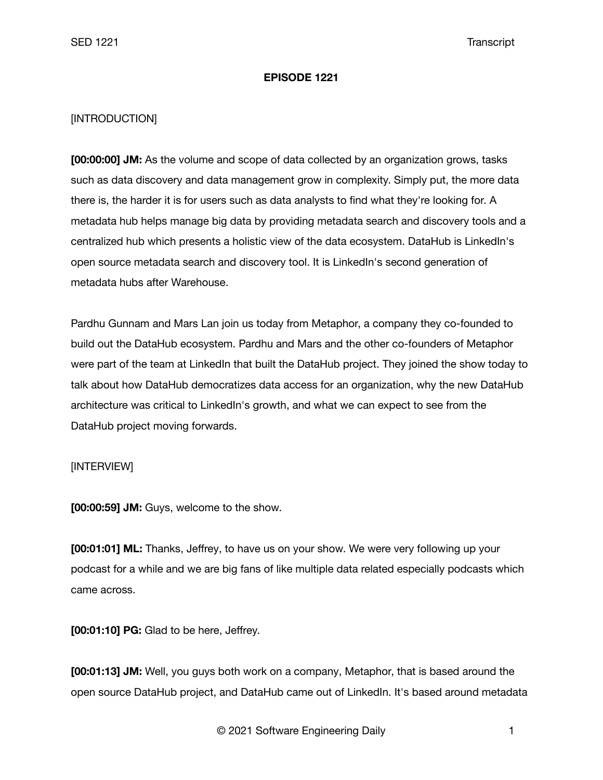## **EPISODE 1221**

# [INTRODUCTION]

**[00:00:00] JM:** As the volume and scope of data collected by an organization grows, tasks such as data discovery and data management grow in complexity. Simply put, the more data there is, the harder it is for users such as data analysts to find what they're looking for. A metadata hub helps manage big data by providing metadata search and discovery tools and a centralized hub which presents a holistic view of the data ecosystem. DataHub is LinkedIn's open source metadata search and discovery tool. It is LinkedIn's second generation of metadata hubs after Warehouse.

Pardhu Gunnam and Mars Lan join us today from Metaphor, a company they co-founded to build out the DataHub ecosystem. Pardhu and Mars and the other co-founders of Metaphor were part of the team at LinkedIn that built the DataHub project. They joined the show today to talk about how DataHub democratizes data access for an organization, why the new DataHub architecture was critical to LinkedIn's growth, and what we can expect to see from the DataHub project moving forwards.

## [INTERVIEW]

**[00:00:59] JM:** Guys, welcome to the show.

**[00:01:01] ML:** Thanks, Jeffrey, to have us on your show. We were very following up your podcast for a while and we are big fans of like multiple data related especially podcasts which came across.

**[00:01:10] PG:** Glad to be here, Jeffrey.

**[00:01:13] JM:** Well, you guys both work on a company, Metaphor, that is based around the open source DataHub project, and DataHub came out of LinkedIn. It's based around metadata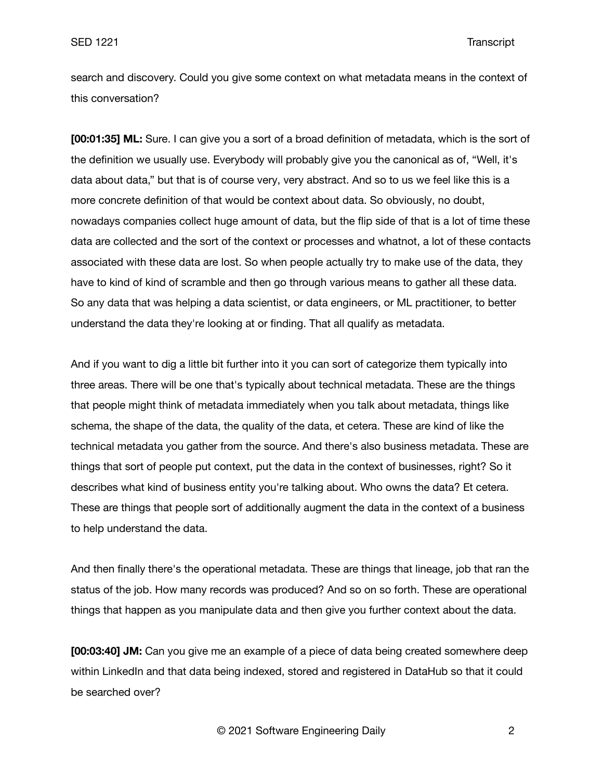search and discovery. Could you give some context on what metadata means in the context of this conversation?

**[00:01:35] ML:** Sure. I can give you a sort of a broad definition of metadata, which is the sort of the definition we usually use. Everybody will probably give you the canonical as of, "Well, it's data about data," but that is of course very, very abstract. And so to us we feel like this is a more concrete definition of that would be context about data. So obviously, no doubt, nowadays companies collect huge amount of data, but the flip side of that is a lot of time these data are collected and the sort of the context or processes and whatnot, a lot of these contacts associated with these data are lost. So when people actually try to make use of the data, they have to kind of kind of scramble and then go through various means to gather all these data. So any data that was helping a data scientist, or data engineers, or ML practitioner, to better understand the data they're looking at or finding. That all qualify as metadata.

And if you want to dig a little bit further into it you can sort of categorize them typically into three areas. There will be one that's typically about technical metadata. These are the things that people might think of metadata immediately when you talk about metadata, things like schema, the shape of the data, the quality of the data, et cetera. These are kind of like the technical metadata you gather from the source. And there's also business metadata. These are things that sort of people put context, put the data in the context of businesses, right? So it describes what kind of business entity you're talking about. Who owns the data? Et cetera. These are things that people sort of additionally augment the data in the context of a business to help understand the data.

And then finally there's the operational metadata. These are things that lineage, job that ran the status of the job. How many records was produced? And so on so forth. These are operational things that happen as you manipulate data and then give you further context about the data.

**[00:03:40] JM:** Can you give me an example of a piece of data being created somewhere deep within LinkedIn and that data being indexed, stored and registered in DataHub so that it could be searched over?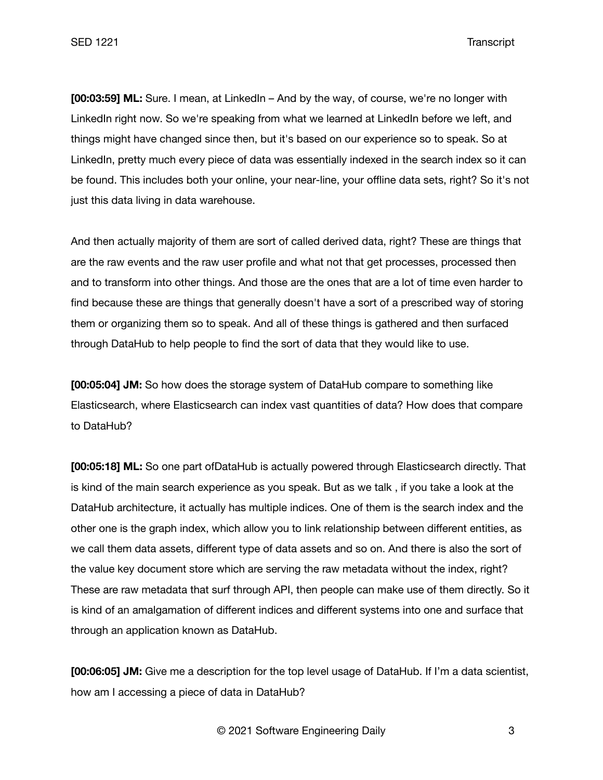**[00:03:59] ML:** Sure. I mean, at LinkedIn – And by the way, of course, we're no longer with LinkedIn right now. So we're speaking from what we learned at LinkedIn before we left, and things might have changed since then, but it's based on our experience so to speak. So at LinkedIn, pretty much every piece of data was essentially indexed in the search index so it can be found. This includes both your online, your near-line, your offline data sets, right? So it's not just this data living in data warehouse.

And then actually majority of them are sort of called derived data, right? These are things that are the raw events and the raw user profile and what not that get processes, processed then and to transform into other things. And those are the ones that are a lot of time even harder to find because these are things that generally doesn't have a sort of a prescribed way of storing them or organizing them so to speak. And all of these things is gathered and then surfaced through DataHub to help people to find the sort of data that they would like to use.

**[00:05:04] JM:** So how does the storage system of DataHub compare to something like Elasticsearch, where Elasticsearch can index vast quantities of data? How does that compare to DataHub?

**[00:05:18] ML:** So one part ofDataHub is actually powered through Elasticsearch directly. That is kind of the main search experience as you speak. But as we talk , if you take a look at the DataHub architecture, it actually has multiple indices. One of them is the search index and the other one is the graph index, which allow you to link relationship between different entities, as we call them data assets, different type of data assets and so on. And there is also the sort of the value key document store which are serving the raw metadata without the index, right? These are raw metadata that surf through API, then people can make use of them directly. So it is kind of an amalgamation of different indices and different systems into one and surface that through an application known as DataHub.

**[00:06:05] JM:** Give me a description for the top level usage of DataHub. If I'm a data scientist, how am I accessing a piece of data in DataHub?

© 2021 Software Engineering Daily 3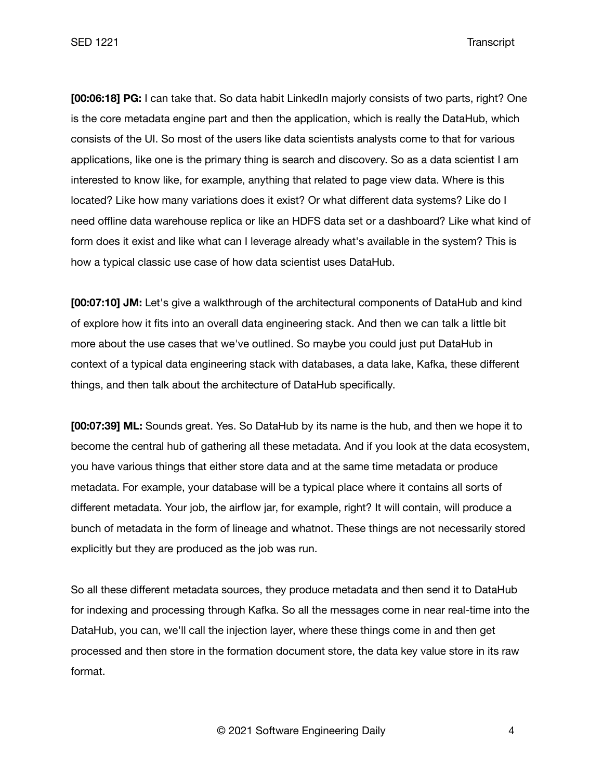**[00:06:18] PG:** I can take that. So data habit LinkedIn majorly consists of two parts, right? One is the core metadata engine part and then the application, which is really the DataHub, which consists of the UI. So most of the users like data scientists analysts come to that for various applications, like one is the primary thing is search and discovery. So as a data scientist I am interested to know like, for example, anything that related to page view data. Where is this located? Like how many variations does it exist? Or what different data systems? Like do I need offline data warehouse replica or like an HDFS data set or a dashboard? Like what kind of form does it exist and like what can I leverage already what's available in the system? This is how a typical classic use case of how data scientist uses DataHub.

**[00:07:10] JM:** Let's give a walkthrough of the architectural components of DataHub and kind of explore how it fits into an overall data engineering stack. And then we can talk a little bit more about the use cases that we've outlined. So maybe you could just put DataHub in context of a typical data engineering stack with databases, a data lake, Kafka, these different things, and then talk about the architecture of DataHub specifically.

**[00:07:39] ML:** Sounds great. Yes. So DataHub by its name is the hub, and then we hope it to become the central hub of gathering all these metadata. And if you look at the data ecosystem, you have various things that either store data and at the same time metadata or produce metadata. For example, your database will be a typical place where it contains all sorts of different metadata. Your job, the airflow jar, for example, right? It will contain, will produce a bunch of metadata in the form of lineage and whatnot. These things are not necessarily stored explicitly but they are produced as the job was run.

So all these different metadata sources, they produce metadata and then send it to DataHub for indexing and processing through Kafka. So all the messages come in near real-time into the DataHub, you can, we'll call the injection layer, where these things come in and then get processed and then store in the formation document store, the data key value store in its raw format.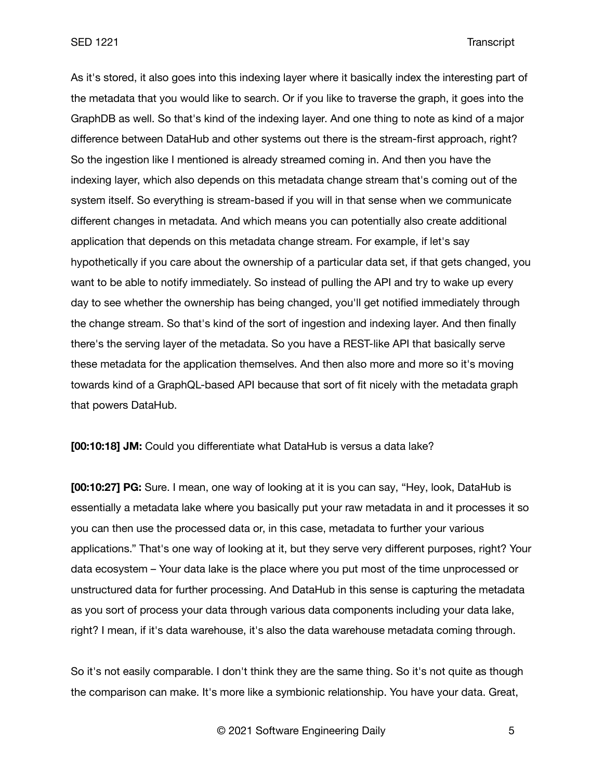As it's stored, it also goes into this indexing layer where it basically index the interesting part of the metadata that you would like to search. Or if you like to traverse the graph, it goes into the GraphDB as well. So that's kind of the indexing layer. And one thing to note as kind of a major difference between DataHub and other systems out there is the stream-first approach, right? So the ingestion like I mentioned is already streamed coming in. And then you have the indexing layer, which also depends on this metadata change stream that's coming out of the system itself. So everything is stream-based if you will in that sense when we communicate different changes in metadata. And which means you can potentially also create additional application that depends on this metadata change stream. For example, if let's say hypothetically if you care about the ownership of a particular data set, if that gets changed, you want to be able to notify immediately. So instead of pulling the API and try to wake up every day to see whether the ownership has being changed, you'll get notified immediately through the change stream. So that's kind of the sort of ingestion and indexing layer. And then finally there's the serving layer of the metadata. So you have a REST-like API that basically serve these metadata for the application themselves. And then also more and more so it's moving towards kind of a GraphQL-based API because that sort of fit nicely with the metadata graph that powers DataHub.

**[00:10:18] JM:** Could you differentiate what DataHub is versus a data lake?

**[00:10:27] PG:** Sure. I mean, one way of looking at it is you can say, "Hey, look, DataHub is essentially a metadata lake where you basically put your raw metadata in and it processes it so you can then use the processed data or, in this case, metadata to further your various applications." That's one way of looking at it, but they serve very different purposes, right? Your data ecosystem – Your data lake is the place where you put most of the time unprocessed or unstructured data for further processing. And DataHub in this sense is capturing the metadata as you sort of process your data through various data components including your data lake, right? I mean, if it's data warehouse, it's also the data warehouse metadata coming through.

So it's not easily comparable. I don't think they are the same thing. So it's not quite as though the comparison can make. It's more like a symbionic relationship. You have your data. Great,

© 2021 Software Engineering Daily 5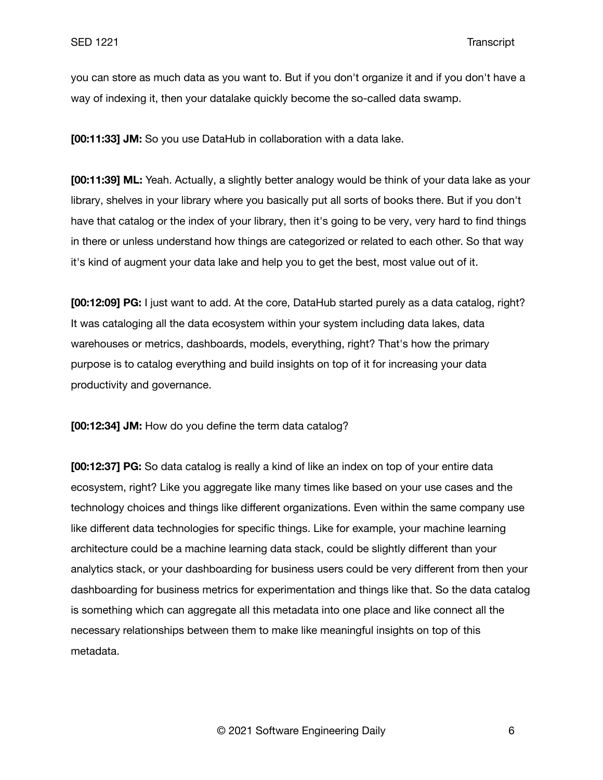you can store as much data as you want to. But if you don't organize it and if you don't have a way of indexing it, then your datalake quickly become the so-called data swamp.

**[00:11:33] JM:** So you use DataHub in collaboration with a data lake.

**[00:11:39] ML:** Yeah. Actually, a slightly better analogy would be think of your data lake as your library, shelves in your library where you basically put all sorts of books there. But if you don't have that catalog or the index of your library, then it's going to be very, very hard to find things in there or unless understand how things are categorized or related to each other. So that way it's kind of augment your data lake and help you to get the best, most value out of it.

**[00:12:09] PG:** I just want to add. At the core, DataHub started purely as a data catalog, right? It was cataloging all the data ecosystem within your system including data lakes, data warehouses or metrics, dashboards, models, everything, right? That's how the primary purpose is to catalog everything and build insights on top of it for increasing your data productivity and governance.

**[00:12:34] JM:** How do you define the term data catalog?

**[00:12:37] PG:** So data catalog is really a kind of like an index on top of your entire data ecosystem, right? Like you aggregate like many times like based on your use cases and the technology choices and things like different organizations. Even within the same company use like different data technologies for specific things. Like for example, your machine learning architecture could be a machine learning data stack, could be slightly different than your analytics stack, or your dashboarding for business users could be very different from then your dashboarding for business metrics for experimentation and things like that. So the data catalog is something which can aggregate all this metadata into one place and like connect all the necessary relationships between them to make like meaningful insights on top of this metadata.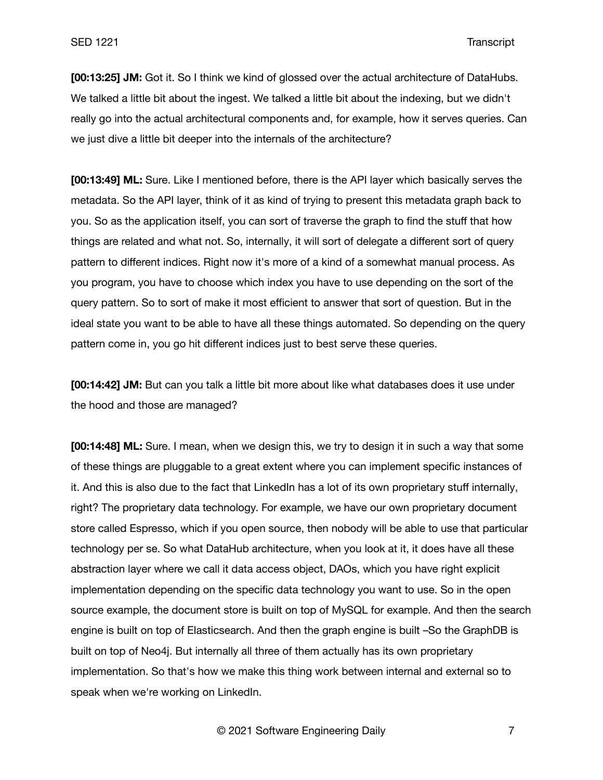**[00:13:25] JM:** Got it. So I think we kind of glossed over the actual architecture of DataHubs. We talked a little bit about the ingest. We talked a little bit about the indexing, but we didn't really go into the actual architectural components and, for example, how it serves queries. Can we just dive a little bit deeper into the internals of the architecture?

**[00:13:49] ML:** Sure. Like I mentioned before, there is the API layer which basically serves the metadata. So the API layer, think of it as kind of trying to present this metadata graph back to you. So as the application itself, you can sort of traverse the graph to find the stuff that how things are related and what not. So, internally, it will sort of delegate a different sort of query pattern to different indices. Right now it's more of a kind of a somewhat manual process. As you program, you have to choose which index you have to use depending on the sort of the query pattern. So to sort of make it most efficient to answer that sort of question. But in the ideal state you want to be able to have all these things automated. So depending on the query pattern come in, you go hit different indices just to best serve these queries.

**[00:14:42] JM:** But can you talk a little bit more about like what databases does it use under the hood and those are managed?

**[00:14:48] ML:** Sure. I mean, when we design this, we try to design it in such a way that some of these things are pluggable to a great extent where you can implement specific instances of it. And this is also due to the fact that LinkedIn has a lot of its own proprietary stuff internally, right? The proprietary data technology. For example, we have our own proprietary document store called Espresso, which if you open source, then nobody will be able to use that particular technology per se. So what DataHub architecture, when you look at it, it does have all these abstraction layer where we call it data access object, DAOs, which you have right explicit implementation depending on the specific data technology you want to use. So in the open source example, the document store is built on top of MySQL for example. And then the search engine is built on top of Elasticsearch. And then the graph engine is built –So the GraphDB is built on top of Neo4j. But internally all three of them actually has its own proprietary implementation. So that's how we make this thing work between internal and external so to speak when we're working on LinkedIn.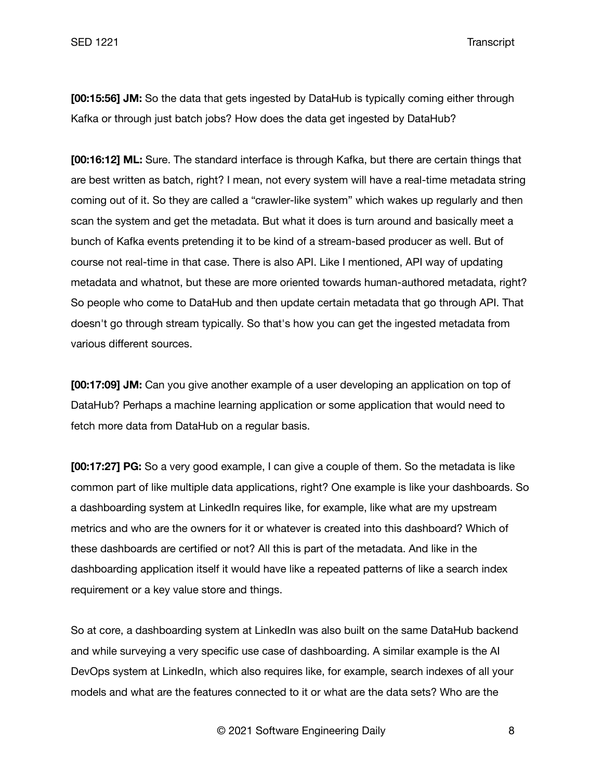**[00:15:56] JM:** So the data that gets ingested by DataHub is typically coming either through Kafka or through just batch jobs? How does the data get ingested by DataHub?

**[00:16:12] ML:** Sure. The standard interface is through Kafka, but there are certain things that are best written as batch, right? I mean, not every system will have a real-time metadata string coming out of it. So they are called a "crawler-like system" which wakes up regularly and then scan the system and get the metadata. But what it does is turn around and basically meet a bunch of Kafka events pretending it to be kind of a stream-based producer as well. But of course not real-time in that case. There is also API. Like I mentioned, API way of updating metadata and whatnot, but these are more oriented towards human-authored metadata, right? So people who come to DataHub and then update certain metadata that go through API. That doesn't go through stream typically. So that's how you can get the ingested metadata from various different sources.

**[00:17:09] JM:** Can you give another example of a user developing an application on top of DataHub? Perhaps a machine learning application or some application that would need to fetch more data from DataHub on a regular basis.

**[00:17:27] PG:** So a very good example, I can give a couple of them. So the metadata is like common part of like multiple data applications, right? One example is like your dashboards. So a dashboarding system at LinkedIn requires like, for example, like what are my upstream metrics and who are the owners for it or whatever is created into this dashboard? Which of these dashboards are certified or not? All this is part of the metadata. And like in the dashboarding application itself it would have like a repeated patterns of like a search index requirement or a key value store and things.

So at core, a dashboarding system at LinkedIn was also built on the same DataHub backend and while surveying a very specific use case of dashboarding. A similar example is the AI DevOps system at LinkedIn, which also requires like, for example, search indexes of all your models and what are the features connected to it or what are the data sets? Who are the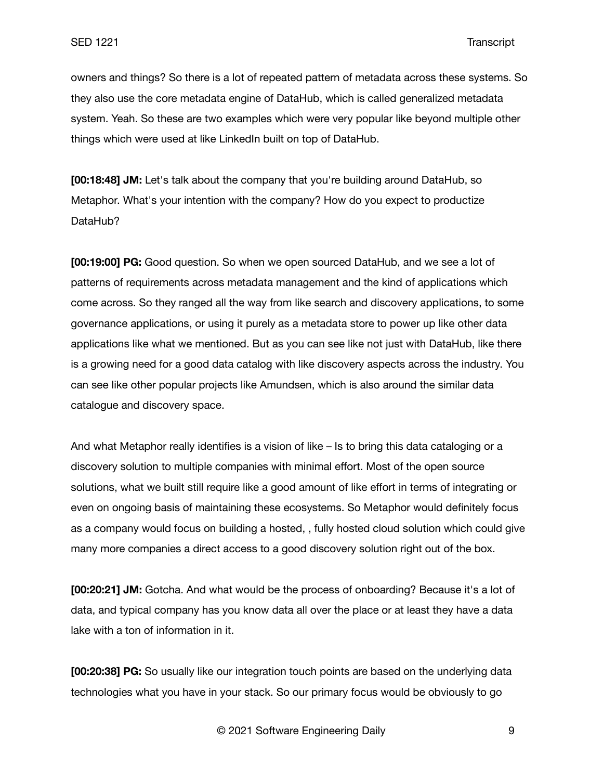owners and things? So there is a lot of repeated pattern of metadata across these systems. So they also use the core metadata engine of DataHub, which is called generalized metadata system. Yeah. So these are two examples which were very popular like beyond multiple other things which were used at like LinkedIn built on top of DataHub.

**[00:18:48] JM:** Let's talk about the company that you're building around DataHub, so Metaphor. What's your intention with the company? How do you expect to productize DataHub?

**[00:19:00] PG:** Good question. So when we open sourced DataHub, and we see a lot of patterns of requirements across metadata management and the kind of applications which come across. So they ranged all the way from like search and discovery applications, to some governance applications, or using it purely as a metadata store to power up like other data applications like what we mentioned. But as you can see like not just with DataHub, like there is a growing need for a good data catalog with like discovery aspects across the industry. You can see like other popular projects like Amundsen, which is also around the similar data catalogue and discovery space.

And what Metaphor really identifies is a vision of like – Is to bring this data cataloging or a discovery solution to multiple companies with minimal effort. Most of the open source solutions, what we built still require like a good amount of like effort in terms of integrating or even on ongoing basis of maintaining these ecosystems. So Metaphor would definitely focus as a company would focus on building a hosted, , fully hosted cloud solution which could give many more companies a direct access to a good discovery solution right out of the box.

**[00:20:21] JM:** Gotcha. And what would be the process of onboarding? Because it's a lot of data, and typical company has you know data all over the place or at least they have a data lake with a ton of information in it.

**[00:20:38] PG:** So usually like our integration touch points are based on the underlying data technologies what you have in your stack. So our primary focus would be obviously to go

© 2021 Software Engineering Daily 9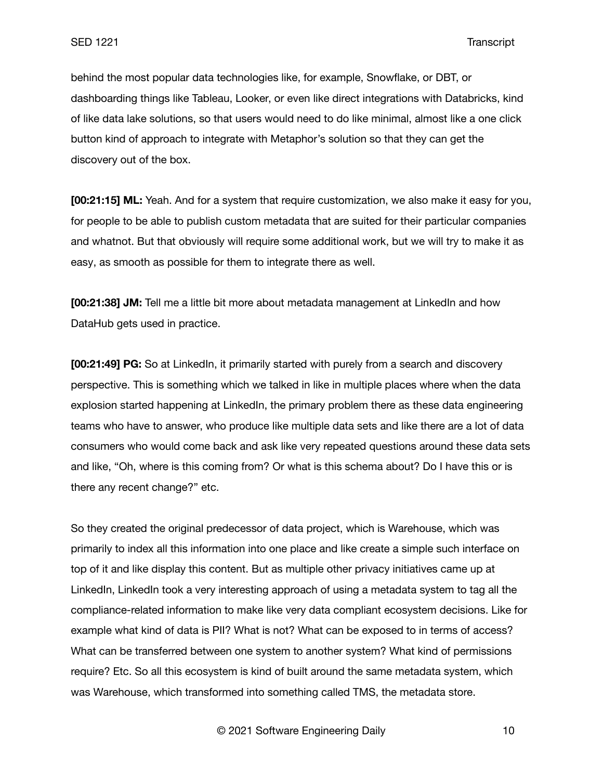behind the most popular data technologies like, for example, Snowflake, or DBT, or dashboarding things like Tableau, Looker, or even like direct integrations with Databricks, kind of like data lake solutions, so that users would need to do like minimal, almost like a one click button kind of approach to integrate with Metaphor's solution so that they can get the discovery out of the box.

**[00:21:15] ML:** Yeah. And for a system that require customization, we also make it easy for you, for people to be able to publish custom metadata that are suited for their particular companies and whatnot. But that obviously will require some additional work, but we will try to make it as easy, as smooth as possible for them to integrate there as well.

**[00:21:38] JM:** Tell me a little bit more about metadata management at LinkedIn and how DataHub gets used in practice.

**[00:21:49] PG:** So at LinkedIn, it primarily started with purely from a search and discovery perspective. This is something which we talked in like in multiple places where when the data explosion started happening at LinkedIn, the primary problem there as these data engineering teams who have to answer, who produce like multiple data sets and like there are a lot of data consumers who would come back and ask like very repeated questions around these data sets and like, "Oh, where is this coming from? Or what is this schema about? Do I have this or is there any recent change?" etc.

So they created the original predecessor of data project, which is Warehouse, which was primarily to index all this information into one place and like create a simple such interface on top of it and like display this content. But as multiple other privacy initiatives came up at LinkedIn, LinkedIn took a very interesting approach of using a metadata system to tag all the compliance-related information to make like very data compliant ecosystem decisions. Like for example what kind of data is PII? What is not? What can be exposed to in terms of access? What can be transferred between one system to another system? What kind of permissions require? Etc. So all this ecosystem is kind of built around the same metadata system, which was Warehouse, which transformed into something called TMS, the metadata store.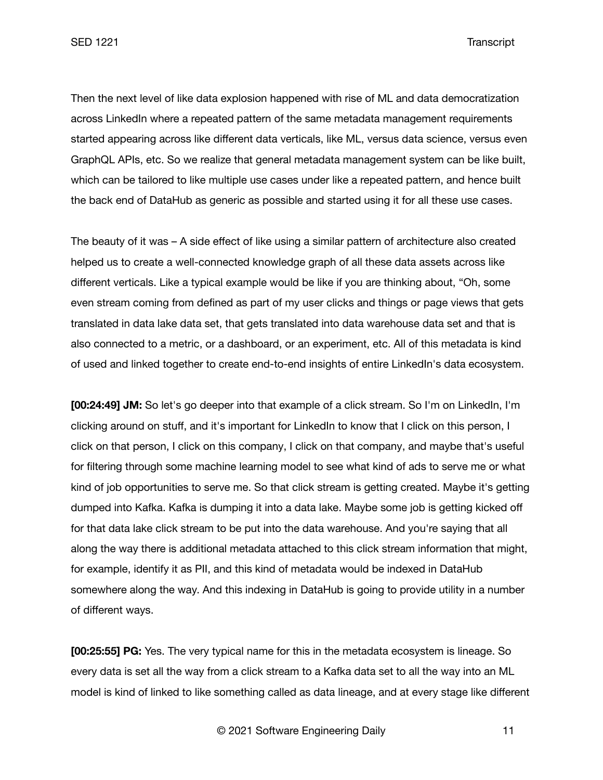SED 1221 Transcript

Then the next level of like data explosion happened with rise of ML and data democratization across LinkedIn where a repeated pattern of the same metadata management requirements started appearing across like different data verticals, like ML, versus data science, versus even GraphQL APIs, etc. So we realize that general metadata management system can be like built, which can be tailored to like multiple use cases under like a repeated pattern, and hence built the back end of DataHub as generic as possible and started using it for all these use cases.

The beauty of it was – A side effect of like using a similar pattern of architecture also created helped us to create a well-connected knowledge graph of all these data assets across like different verticals. Like a typical example would be like if you are thinking about, "Oh, some even stream coming from defined as part of my user clicks and things or page views that gets translated in data lake data set, that gets translated into data warehouse data set and that is also connected to a metric, or a dashboard, or an experiment, etc. All of this metadata is kind of used and linked together to create end-to-end insights of entire LinkedIn's data ecosystem.

**[00:24:49] JM:** So let's go deeper into that example of a click stream. So I'm on LinkedIn, I'm clicking around on stuff, and it's important for LinkedIn to know that I click on this person, I click on that person, I click on this company, I click on that company, and maybe that's useful for filtering through some machine learning model to see what kind of ads to serve me or what kind of job opportunities to serve me. So that click stream is getting created. Maybe it's getting dumped into Kafka. Kafka is dumping it into a data lake. Maybe some job is getting kicked off for that data lake click stream to be put into the data warehouse. And you're saying that all along the way there is additional metadata attached to this click stream information that might, for example, identify it as PII, and this kind of metadata would be indexed in DataHub somewhere along the way. And this indexing in DataHub is going to provide utility in a number of different ways.

**[00:25:55] PG:** Yes. The very typical name for this in the metadata ecosystem is lineage. So every data is set all the way from a click stream to a Kafka data set to all the way into an ML model is kind of linked to like something called as data lineage, and at every stage like different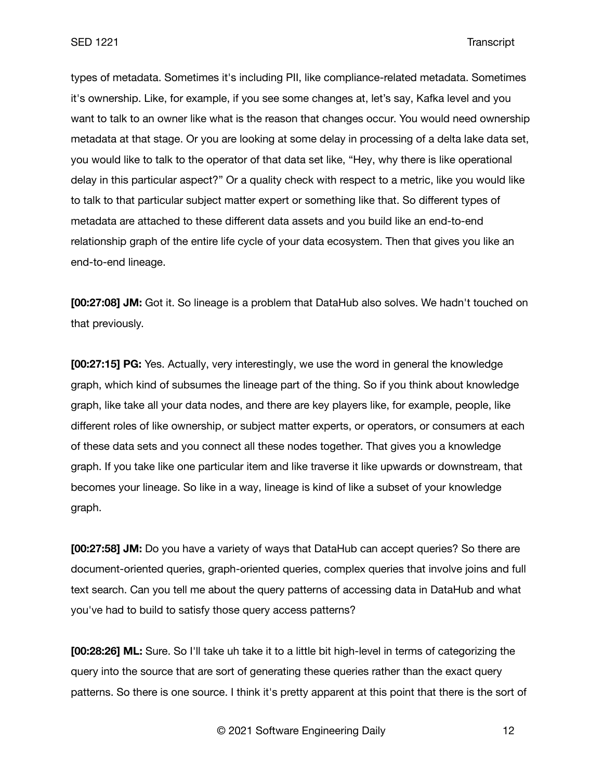types of metadata. Sometimes it's including PII, like compliance-related metadata. Sometimes it's ownership. Like, for example, if you see some changes at, let's say, Kafka level and you want to talk to an owner like what is the reason that changes occur. You would need ownership metadata at that stage. Or you are looking at some delay in processing of a delta lake data set, you would like to talk to the operator of that data set like, "Hey, why there is like operational delay in this particular aspect?" Or a quality check with respect to a metric, like you would like to talk to that particular subject matter expert or something like that. So different types of metadata are attached to these different data assets and you build like an end-to-end relationship graph of the entire life cycle of your data ecosystem. Then that gives you like an end-to-end lineage.

**[00:27:08] JM:** Got it. So lineage is a problem that DataHub also solves. We hadn't touched on that previously.

**[00:27:15] PG:** Yes. Actually, very interestingly, we use the word in general the knowledge graph, which kind of subsumes the lineage part of the thing. So if you think about knowledge graph, like take all your data nodes, and there are key players like, for example, people, like different roles of like ownership, or subject matter experts, or operators, or consumers at each of these data sets and you connect all these nodes together. That gives you a knowledge graph. If you take like one particular item and like traverse it like upwards or downstream, that becomes your lineage. So like in a way, lineage is kind of like a subset of your knowledge graph.

**[00:27:58] JM:** Do you have a variety of ways that DataHub can accept queries? So there are document-oriented queries, graph-oriented queries, complex queries that involve joins and full text search. Can you tell me about the query patterns of accessing data in DataHub and what you've had to build to satisfy those query access patterns?

**[00:28:26] ML:** Sure. So I'll take uh take it to a little bit high-level in terms of categorizing the query into the source that are sort of generating these queries rather than the exact query patterns. So there is one source. I think it's pretty apparent at this point that there is the sort of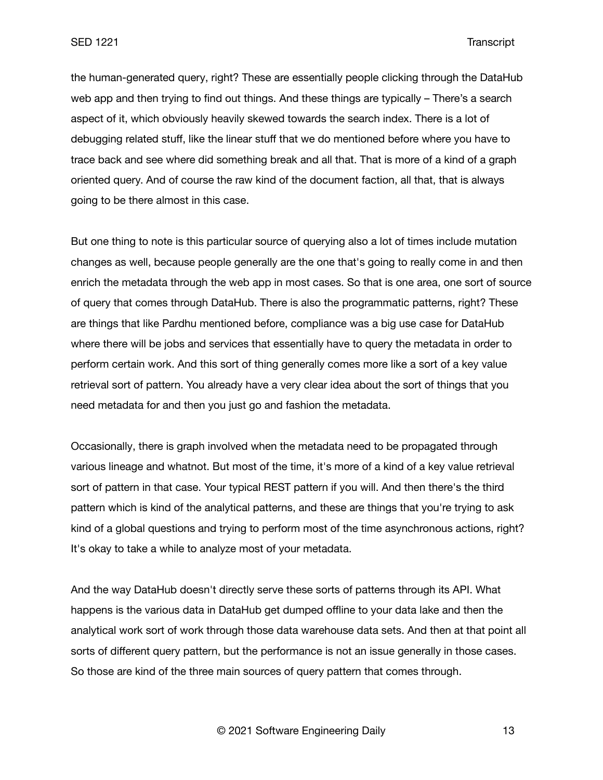the human-generated query, right? These are essentially people clicking through the DataHub web app and then trying to find out things. And these things are typically – There's a search aspect of it, which obviously heavily skewed towards the search index. There is a lot of debugging related stuff, like the linear stuff that we do mentioned before where you have to trace back and see where did something break and all that. That is more of a kind of a graph oriented query. And of course the raw kind of the document faction, all that, that is always going to be there almost in this case.

But one thing to note is this particular source of querying also a lot of times include mutation changes as well, because people generally are the one that's going to really come in and then enrich the metadata through the web app in most cases. So that is one area, one sort of source of query that comes through DataHub. There is also the programmatic patterns, right? These are things that like Pardhu mentioned before, compliance was a big use case for DataHub where there will be jobs and services that essentially have to query the metadata in order to perform certain work. And this sort of thing generally comes more like a sort of a key value retrieval sort of pattern. You already have a very clear idea about the sort of things that you need metadata for and then you just go and fashion the metadata.

Occasionally, there is graph involved when the metadata need to be propagated through various lineage and whatnot. But most of the time, it's more of a kind of a key value retrieval sort of pattern in that case. Your typical REST pattern if you will. And then there's the third pattern which is kind of the analytical patterns, and these are things that you're trying to ask kind of a global questions and trying to perform most of the time asynchronous actions, right? It's okay to take a while to analyze most of your metadata.

And the way DataHub doesn't directly serve these sorts of patterns through its API. What happens is the various data in DataHub get dumped offline to your data lake and then the analytical work sort of work through those data warehouse data sets. And then at that point all sorts of different query pattern, but the performance is not an issue generally in those cases. So those are kind of the three main sources of query pattern that comes through.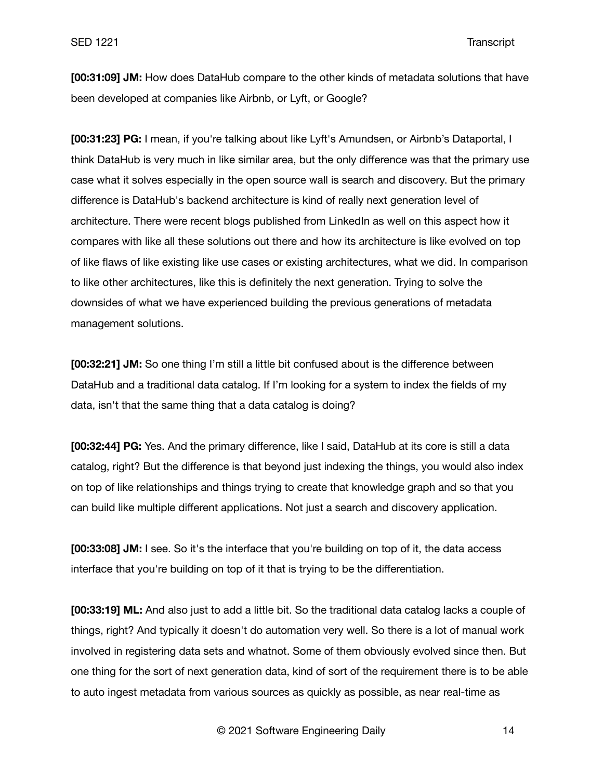**[00:31:09] JM:** How does DataHub compare to the other kinds of metadata solutions that have been developed at companies like Airbnb, or Lyft, or Google?

**[00:31:23] PG:** I mean, if you're talking about like Lyft's Amundsen, or Airbnb's Dataportal, I think DataHub is very much in like similar area, but the only difference was that the primary use case what it solves especially in the open source wall is search and discovery. But the primary difference is DataHub's backend architecture is kind of really next generation level of architecture. There were recent blogs published from LinkedIn as well on this aspect how it compares with like all these solutions out there and how its architecture is like evolved on top of like flaws of like existing like use cases or existing architectures, what we did. In comparison to like other architectures, like this is definitely the next generation. Trying to solve the downsides of what we have experienced building the previous generations of metadata management solutions.

**[00:32:21] JM:** So one thing I'm still a little bit confused about is the difference between DataHub and a traditional data catalog. If I'm looking for a system to index the fields of my data, isn't that the same thing that a data catalog is doing?

**[00:32:44] PG:** Yes. And the primary difference, like I said, DataHub at its core is still a data catalog, right? But the difference is that beyond just indexing the things, you would also index on top of like relationships and things trying to create that knowledge graph and so that you can build like multiple different applications. Not just a search and discovery application.

**[00:33:08] JM:** I see. So it's the interface that you're building on top of it, the data access interface that you're building on top of it that is trying to be the differentiation.

**[00:33:19] ML:** And also just to add a little bit. So the traditional data catalog lacks a couple of things, right? And typically it doesn't do automation very well. So there is a lot of manual work involved in registering data sets and whatnot. Some of them obviously evolved since then. But one thing for the sort of next generation data, kind of sort of the requirement there is to be able to auto ingest metadata from various sources as quickly as possible, as near real-time as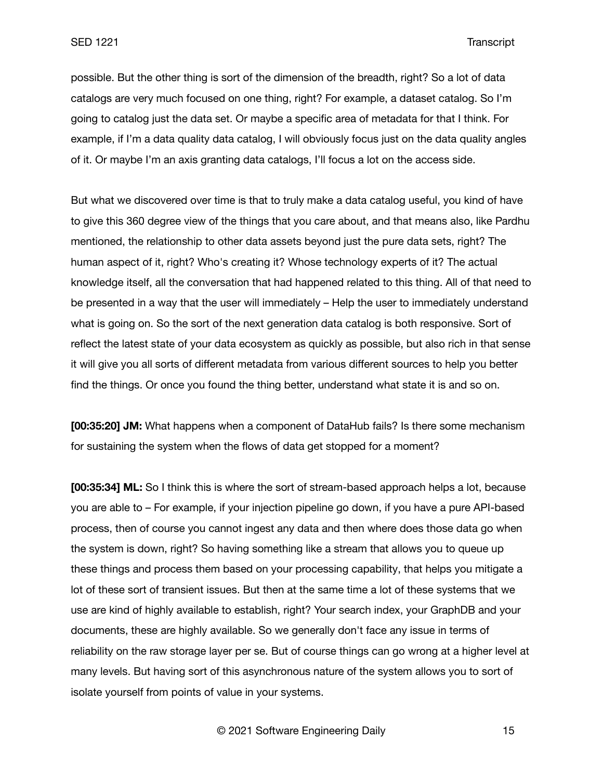possible. But the other thing is sort of the dimension of the breadth, right? So a lot of data catalogs are very much focused on one thing, right? For example, a dataset catalog. So I'm going to catalog just the data set. Or maybe a specific area of metadata for that I think. For example, if I'm a data quality data catalog, I will obviously focus just on the data quality angles of it. Or maybe I'm an axis granting data catalogs, I'll focus a lot on the access side.

But what we discovered over time is that to truly make a data catalog useful, you kind of have to give this 360 degree view of the things that you care about, and that means also, like Pardhu mentioned, the relationship to other data assets beyond just the pure data sets, right? The human aspect of it, right? Who's creating it? Whose technology experts of it? The actual knowledge itself, all the conversation that had happened related to this thing. All of that need to be presented in a way that the user will immediately – Help the user to immediately understand what is going on. So the sort of the next generation data catalog is both responsive. Sort of reflect the latest state of your data ecosystem as quickly as possible, but also rich in that sense it will give you all sorts of different metadata from various different sources to help you better find the things. Or once you found the thing better, understand what state it is and so on.

**[00:35:20] JM:** What happens when a component of DataHub fails? Is there some mechanism for sustaining the system when the flows of data get stopped for a moment?

**[00:35:34] ML:** So I think this is where the sort of stream-based approach helps a lot, because you are able to – For example, if your injection pipeline go down, if you have a pure API-based process, then of course you cannot ingest any data and then where does those data go when the system is down, right? So having something like a stream that allows you to queue up these things and process them based on your processing capability, that helps you mitigate a lot of these sort of transient issues. But then at the same time a lot of these systems that we use are kind of highly available to establish, right? Your search index, your GraphDB and your documents, these are highly available. So we generally don't face any issue in terms of reliability on the raw storage layer per se. But of course things can go wrong at a higher level at many levels. But having sort of this asynchronous nature of the system allows you to sort of isolate yourself from points of value in your systems.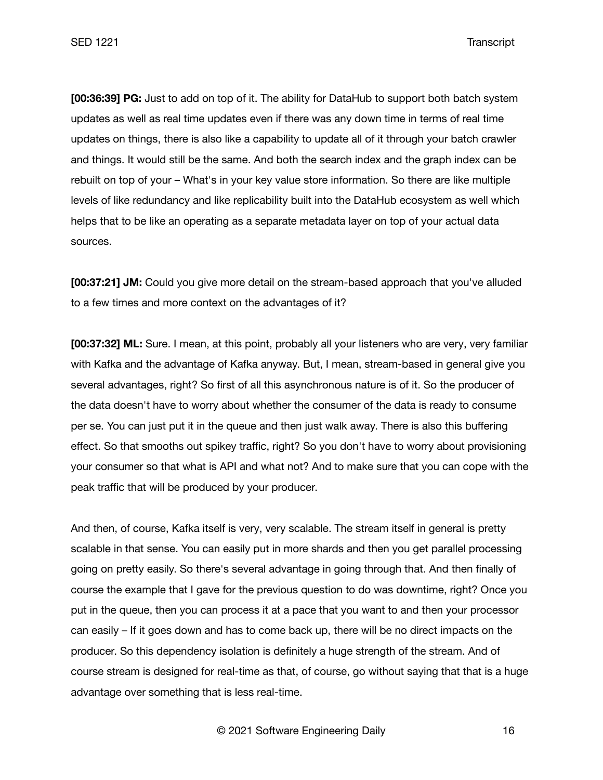**[00:36:39] PG:** Just to add on top of it. The ability for DataHub to support both batch system updates as well as real time updates even if there was any down time in terms of real time updates on things, there is also like a capability to update all of it through your batch crawler and things. It would still be the same. And both the search index and the graph index can be rebuilt on top of your – What's in your key value store information. So there are like multiple levels of like redundancy and like replicability built into the DataHub ecosystem as well which helps that to be like an operating as a separate metadata layer on top of your actual data sources.

**[00:37:21] JM:** Could you give more detail on the stream-based approach that you've alluded to a few times and more context on the advantages of it?

**[00:37:32] ML:** Sure. I mean, at this point, probably all your listeners who are very, very familiar with Kafka and the advantage of Kafka anyway. But, I mean, stream-based in general give you several advantages, right? So first of all this asynchronous nature is of it. So the producer of the data doesn't have to worry about whether the consumer of the data is ready to consume per se. You can just put it in the queue and then just walk away. There is also this buffering effect. So that smooths out spikey traffic, right? So you don't have to worry about provisioning your consumer so that what is API and what not? And to make sure that you can cope with the peak traffic that will be produced by your producer.

And then, of course, Kafka itself is very, very scalable. The stream itself in general is pretty scalable in that sense. You can easily put in more shards and then you get parallel processing going on pretty easily. So there's several advantage in going through that. And then finally of course the example that I gave for the previous question to do was downtime, right? Once you put in the queue, then you can process it at a pace that you want to and then your processor can easily – If it goes down and has to come back up, there will be no direct impacts on the producer. So this dependency isolation is definitely a huge strength of the stream. And of course stream is designed for real-time as that, of course, go without saying that that is a huge advantage over something that is less real-time.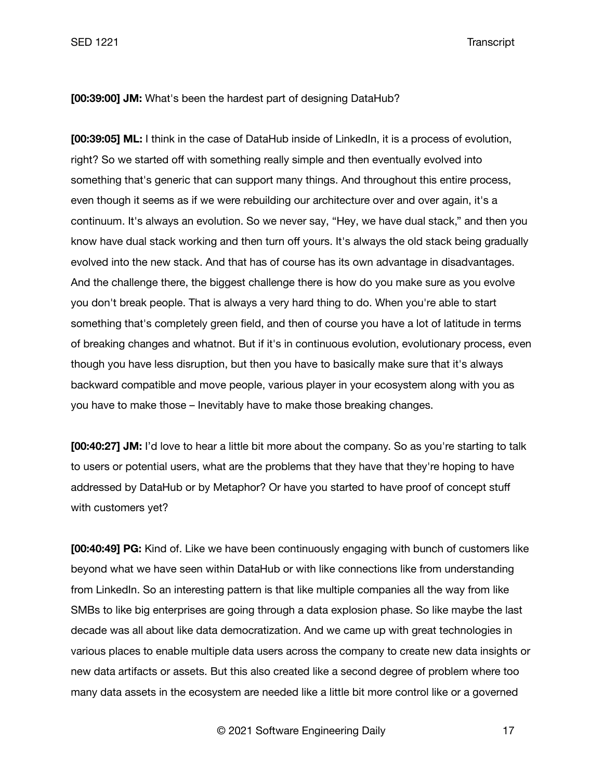SED 1221 Transcript

### **[00:39:00] JM:** What's been the hardest part of designing DataHub?

**[00:39:05] ML:** I think in the case of DataHub inside of LinkedIn, it is a process of evolution, right? So we started off with something really simple and then eventually evolved into something that's generic that can support many things. And throughout this entire process, even though it seems as if we were rebuilding our architecture over and over again, it's a continuum. It's always an evolution. So we never say, "Hey, we have dual stack," and then you know have dual stack working and then turn off yours. It's always the old stack being gradually evolved into the new stack. And that has of course has its own advantage in disadvantages. And the challenge there, the biggest challenge there is how do you make sure as you evolve you don't break people. That is always a very hard thing to do. When you're able to start something that's completely green field, and then of course you have a lot of latitude in terms of breaking changes and whatnot. But if it's in continuous evolution, evolutionary process, even though you have less disruption, but then you have to basically make sure that it's always backward compatible and move people, various player in your ecosystem along with you as you have to make those – Inevitably have to make those breaking changes.

**[00:40:27] JM:** I'd love to hear a little bit more about the company. So as you're starting to talk to users or potential users, what are the problems that they have that they're hoping to have addressed by DataHub or by Metaphor? Or have you started to have proof of concept stuff with customers yet?

**[00:40:49] PG:** Kind of. Like we have been continuously engaging with bunch of customers like beyond what we have seen within DataHub or with like connections like from understanding from LinkedIn. So an interesting pattern is that like multiple companies all the way from like SMBs to like big enterprises are going through a data explosion phase. So like maybe the last decade was all about like data democratization. And we came up with great technologies in various places to enable multiple data users across the company to create new data insights or new data artifacts or assets. But this also created like a second degree of problem where too many data assets in the ecosystem are needed like a little bit more control like or a governed